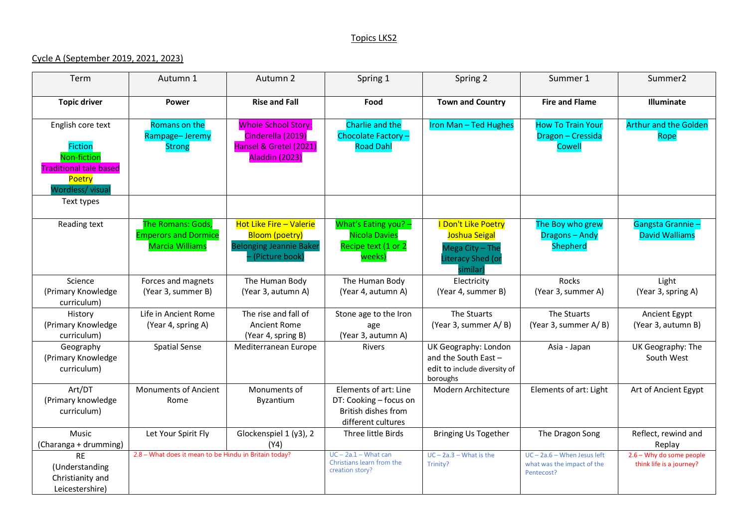## Topics LKS2

## Cycle A (September 2019, 2021, 2023)

| Term                                                                                                                           | Autumn 1                                                                   | Autumn 2                                                                                                    | Spring 1                                                                                     | Spring 2                                                                                 | Summer 1                                                                  | Summer <sub>2</sub>                                  |
|--------------------------------------------------------------------------------------------------------------------------------|----------------------------------------------------------------------------|-------------------------------------------------------------------------------------------------------------|----------------------------------------------------------------------------------------------|------------------------------------------------------------------------------------------|---------------------------------------------------------------------------|------------------------------------------------------|
| <b>Topic driver</b>                                                                                                            | Power                                                                      | <b>Rise and Fall</b>                                                                                        | Food                                                                                         | <b>Town and Country</b>                                                                  | <b>Fire and Flame</b>                                                     | Illuminate                                           |
| English core text<br><b>Fiction</b><br>Non-fiction<br><b>Traditional tale based</b><br>Poetry<br>Wordless/visual<br>Text types | Romans on the<br>Rampage-Jeremy<br><b>Strong</b>                           | <b>Whole School Story:</b><br>Cinderella (2019)<br>Hansel & Gretel (2021)<br>Aladdin (2023)                 | Charlie and the<br>Chocolate Factory -<br><b>Road Dahl</b>                                   | Iron Man - Ted Hughes                                                                    | <b>How To Train Your</b><br>Dragon - Cressida<br><b>Cowell</b>            | <b>Arthur and the Golden</b><br>Rope                 |
| Reading text                                                                                                                   | The Romans: Gods,<br><b>Emperors and Dormice</b><br><b>Marcia Williams</b> | <b>Hot Like Fire - Valerie</b><br><b>Bloom (poetry)</b><br><b>Belonging Jeannie Baker</b><br>(Picture book) | What's Eating you? -<br><b>Nicola Davies</b><br>Recipe text (1 or 2<br>weeks)                | I Don't Like Poetry<br>Joshua Seigal<br>Mega City - The<br>Literacy Shed (or<br>similar) | The Boy who grew<br>Dragons - Andy<br><b>Shepherd</b>                     | Gangsta Grannie-<br><b>David Walliams</b>            |
| Science<br>(Primary Knowledge<br>curriculum)                                                                                   | Forces and magnets<br>(Year 3, summer B)                                   | The Human Body<br>(Year 3, autumn A)                                                                        | The Human Body<br>(Year 4, autumn A)                                                         | Electricity<br>(Year 4, summer B)                                                        | Rocks<br>(Year 3, summer A)                                               | Light<br>(Year 3, spring A)                          |
| History<br>(Primary Knowledge<br>curriculum)                                                                                   | Life in Ancient Rome<br>(Year 4, spring A)                                 | The rise and fall of<br>Ancient Rome<br>(Year 4, spring B)                                                  | Stone age to the Iron<br>age<br>(Year 3, autumn A)                                           | The Stuarts<br>(Year 3, summer A/B)                                                      | The Stuarts<br>(Year 3, summer A/B)                                       | Ancient Egypt<br>(Year 3, autumn B)                  |
| Geography<br>(Primary Knowledge<br>curriculum)                                                                                 | <b>Spatial Sense</b>                                                       | Mediterranean Europe                                                                                        | <b>Rivers</b>                                                                                | UK Geography: London<br>and the South East -<br>edit to include diversity of<br>boroughs | Asia - Japan                                                              | UK Geography: The<br>South West                      |
| Art/DT<br>(Primary knowledge<br>curriculum)                                                                                    | <b>Monuments of Ancient</b><br>Rome                                        | Monuments of<br>Byzantium                                                                                   | Elements of art: Line<br>DT: Cooking - focus on<br>British dishes from<br>different cultures | Modern Architecture                                                                      | Elements of art: Light                                                    | Art of Ancient Egypt                                 |
| Music<br>(Charanga + drumming)                                                                                                 | Let Your Spirit Fly                                                        | Glockenspiel 1 (y3), 2<br>(Y4)                                                                              | Three little Birds                                                                           | <b>Bringing Us Together</b>                                                              | The Dragon Song                                                           | Reflect, rewind and<br>Replay                        |
| <b>RE</b><br>(Understanding<br>Christianity and<br>Leicestershire)                                                             | 2.8 - What does it mean to be Hindu in Britain today?                      |                                                                                                             | $UC - 2a.1 - What can$<br>Christians learn from the<br>creation story?                       | $UC - 2a.3 - What is the$<br>Trinity?                                                    | $UC - 2a.6 - When Jesus left$<br>what was the impact of the<br>Pentecost? | 2.6 - Why do some people<br>think life is a journey? |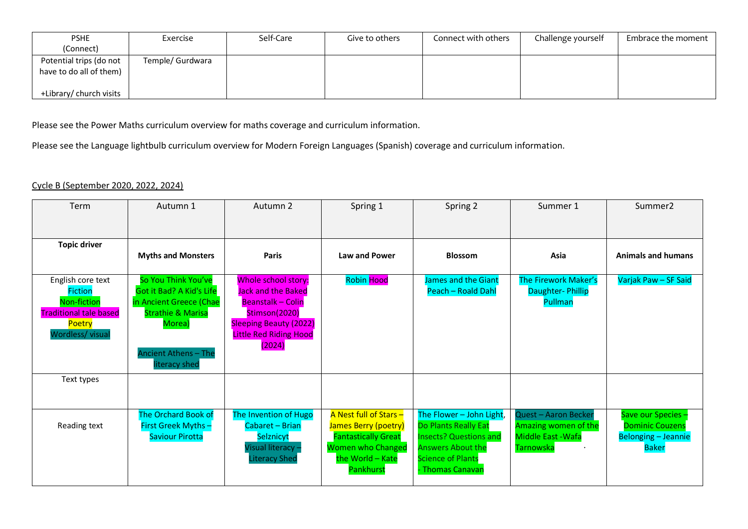| <b>PSHE</b>                                        | Exercise         | Self-Care | Give to others | Connect with others | Challenge yourself | Embrace the moment |
|----------------------------------------------------|------------------|-----------|----------------|---------------------|--------------------|--------------------|
| (Connect)                                          |                  |           |                |                     |                    |                    |
| Potential trips (do not<br>have to do all of them) | Temple/ Gurdwara |           |                |                     |                    |                    |
| +Library/ church visits                            |                  |           |                |                     |                    |                    |

Please see the Power Maths curriculum overview for maths coverage and curriculum information.

Please see the Language lightbulb curriculum overview for Modern Foreign Languages (Spanish) coverage and curriculum information.

## Cycle B (September 2020, 2022, 2024)

| Term                                                                                                              | Autumn 1                                                                                                                                                                    | Autumn 2                                                                                                                                                           | Spring 1                                                                                                                                  | Spring 2                                                                                                                                                      | Summer 1                                                                               | Summer <sub>2</sub>                                                                        |
|-------------------------------------------------------------------------------------------------------------------|-----------------------------------------------------------------------------------------------------------------------------------------------------------------------------|--------------------------------------------------------------------------------------------------------------------------------------------------------------------|-------------------------------------------------------------------------------------------------------------------------------------------|---------------------------------------------------------------------------------------------------------------------------------------------------------------|----------------------------------------------------------------------------------------|--------------------------------------------------------------------------------------------|
|                                                                                                                   |                                                                                                                                                                             |                                                                                                                                                                    |                                                                                                                                           |                                                                                                                                                               |                                                                                        |                                                                                            |
| <b>Topic driver</b>                                                                                               | <b>Myths and Monsters</b>                                                                                                                                                   | <b>Paris</b>                                                                                                                                                       | <b>Law and Power</b>                                                                                                                      | <b>Blossom</b>                                                                                                                                                | Asia                                                                                   | <b>Animals and humans</b>                                                                  |
| English core text<br><b>Fiction</b><br>Non-fiction<br><b>Traditional tale based</b><br>Poetry<br>Wordless/ visual | So You Think You've<br><b>Got it Bad? A Kid's Life</b><br>in Ancient Greece (Chae<br><b>Strathie &amp; Marisa</b><br>Morea)<br><b>Ancient Athens - The</b><br>literacy shed | Whole school story:<br>Jack and the Baked<br><b>Beanstalk - Colin</b><br>Stimson(2020)<br><b>Sleeping Beauty (2022)</b><br><b>Little Red Riding Hood</b><br>(2024) | <b>Robin Hood</b>                                                                                                                         | James and the Giant<br>Peach - Roald Dahl                                                                                                                     | The Firework Maker's<br>Daughter-Phillip<br>Pullman                                    | Varjak Paw - SF Said                                                                       |
| Text types                                                                                                        |                                                                                                                                                                             |                                                                                                                                                                    |                                                                                                                                           |                                                                                                                                                               |                                                                                        |                                                                                            |
| Reading text                                                                                                      | The Orchard Book of<br>First Greek Myths-<br><b>Saviour Pirotta</b>                                                                                                         | The Invention of Hugo<br>Cabaret - Brian<br>Selznicyt<br>Visual literacy -<br><b>Literacy Shed</b>                                                                 | A Nest full of Stars -<br>James Berry (poetry)<br><b>Fantastically Great</b><br><b>Women who Changed</b><br>the World - Kate<br>Pankhurst | The Flower - John Light,<br>Do Plants Really Eat<br><b>Insects? Questions and</b><br><b>Answers About the</b><br><b>Science of Plants</b><br>- Thomas Canavan | Quest - Aaron Becker<br>Amazing women of the<br>Middle East - Wafa<br><b>Tarnowska</b> | Save our Species -<br><b>Dominic Couzens</b><br><b>Belonging - Jeannie</b><br><b>Baker</b> |